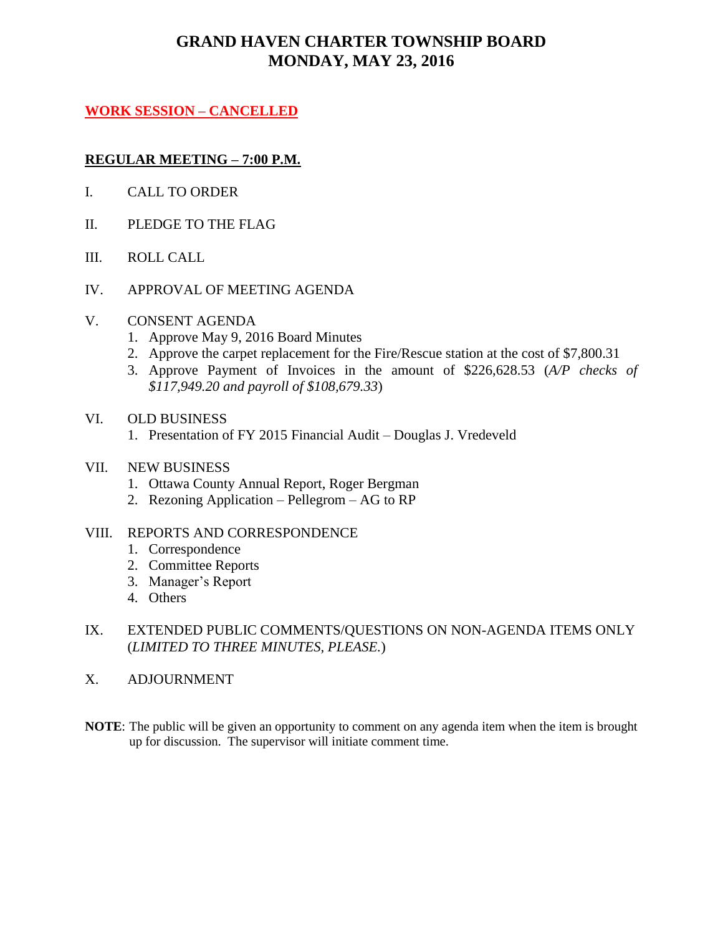# **GRAND HAVEN CHARTER TOWNSHIP BOARD MONDAY, MAY 23, 2016**

#### **WORK SESSION – CANCELLED**

#### **REGULAR MEETING – 7:00 P.M.**

- I. CALL TO ORDER
- II. PLEDGE TO THE FLAG
- III. ROLL CALL
- IV. APPROVAL OF MEETING AGENDA

#### V. CONSENT AGENDA

- 1. Approve May 9, 2016 Board Minutes
- 2. Approve the carpet replacement for the Fire/Rescue station at the cost of \$7,800.31
- 3. Approve Payment of Invoices in the amount of \$226,628.53 (*A/P checks of \$117,949.20 and payroll of \$108,679.33*)

#### VI. OLD BUSINESS

1. Presentation of FY 2015 Financial Audit – Douglas J. Vredeveld

#### VII. NEW BUSINESS

- 1. Ottawa County Annual Report, Roger Bergman
- 2. Rezoning Application Pellegrom AG to RP

#### VIII. REPORTS AND CORRESPONDENCE

- 1. Correspondence
- 2. Committee Reports
- 3. Manager's Report
- 4. Others
- IX. EXTENDED PUBLIC COMMENTS/QUESTIONS ON NON-AGENDA ITEMS ONLY (*LIMITED TO THREE MINUTES, PLEASE.*)
- X. ADJOURNMENT
- **NOTE**: The public will be given an opportunity to comment on any agenda item when the item is brought up for discussion. The supervisor will initiate comment time.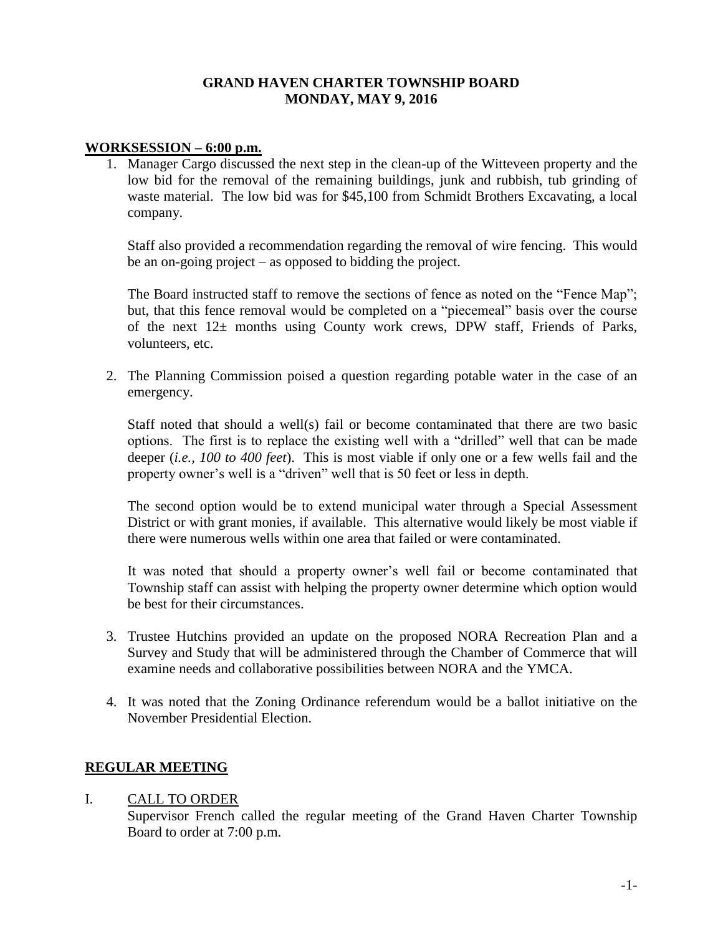#### **GRAND HAVEN CHARTER TOWNSHIP BOARD MONDAY, MAY 9, 2016**

#### **WORKSESSION – 6:00 p.m.**

1. Manager Cargo discussed the next step in the clean-up of the Witteveen property and the low bid for the removal of the remaining buildings, junk and rubbish, tub grinding of waste material. The low bid was for \$45,100 from Schmidt Brothers Excavating, a local company.

Staff also provided a recommendation regarding the removal of wire fencing. This would be an on-going project – as opposed to bidding the project.

The Board instructed staff to remove the sections of fence as noted on the "Fence Map"; but, that this fence removal would be completed on a "piecemeal" basis over the course of the next  $12\pm$  months using County work crews, DPW staff, Friends of Parks, volunteers, etc.

2. The Planning Commission poised a question regarding potable water in the case of an emergency.

Staff noted that should a well(s) fail or become contaminated that there are two basic options. The first is to replace the existing well with a "drilled" well that can be made deeper (*i.e., 100 to 400 feet*). This is most viable if only one or a few wells fail and the property owner's well is a "driven" well that is 50 feet or less in depth.

The second option would be to extend municipal water through a Special Assessment District or with grant monies, if available. This alternative would likely be most viable if there were numerous wells within one area that failed or were contaminated.

It was noted that should a property owner's well fail or become contaminated that Township staff can assist with helping the property owner determine which option would be best for their circumstances.

- 3. Trustee Hutchins provided an update on the proposed NORA Recreation Plan and a Survey and Study that will be administered through the Chamber of Commerce that will examine needs and collaborative possibilities between NORA and the YMCA.
- 4. It was noted that the Zoning Ordinance referendum would be a ballot initiative on the November Presidential Election.

#### **REGULAR MEETING**

#### I. CALL TO ORDER

Supervisor French called the regular meeting of the Grand Haven Charter Township Board to order at 7:00 p.m.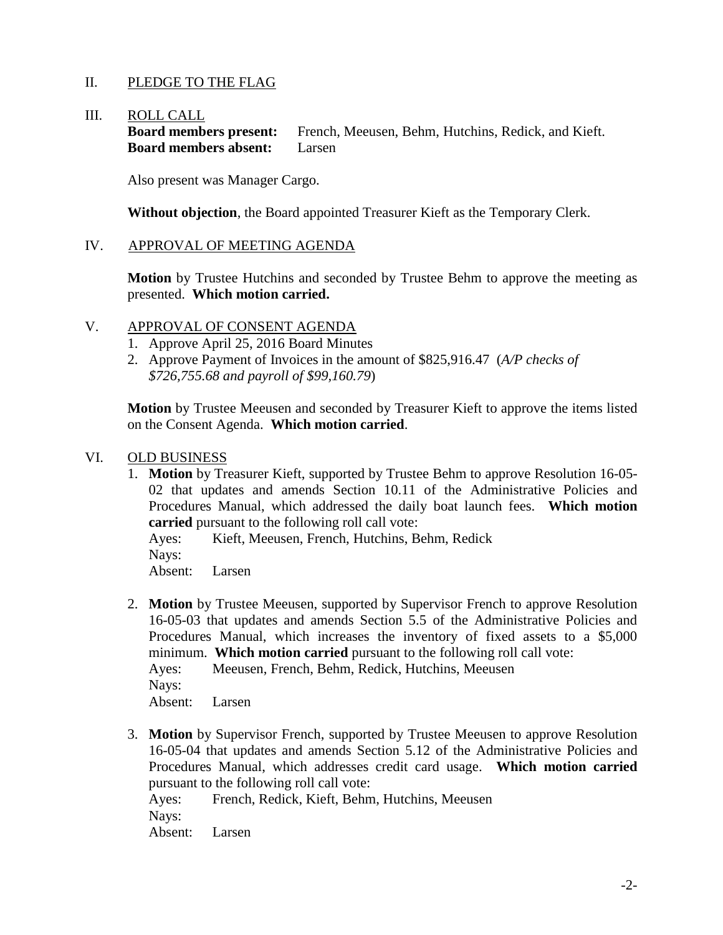### II. PLEDGE TO THE FLAG

#### III. ROLL CALL

**Board members present:** French, Meeusen, Behm, Hutchins, Redick, and Kieft. **Board members absent:** Larsen

Also present was Manager Cargo.

**Without objection**, the Board appointed Treasurer Kieft as the Temporary Clerk.

#### IV. APPROVAL OF MEETING AGENDA

**Motion** by Trustee Hutchins and seconded by Trustee Behm to approve the meeting as presented. **Which motion carried.**

#### V. APPROVAL OF CONSENT AGENDA

- 1. Approve April 25, 2016 Board Minutes
- 2. Approve Payment of Invoices in the amount of \$825,916.47 (*A/P checks of \$726,755.68 and payroll of \$99,160.79*)

**Motion** by Trustee Meeusen and seconded by Treasurer Kieft to approve the items listed on the Consent Agenda. **Which motion carried**.

#### VI. OLD BUSINESS

1. **Motion** by Treasurer Kieft, supported by Trustee Behm to approve Resolution 16-05- 02 that updates and amends Section 10.11 of the Administrative Policies and Procedures Manual, which addressed the daily boat launch fees. **Which motion carried** pursuant to the following roll call vote:

Ayes: Kieft, Meeusen, French, Hutchins, Behm, Redick Nays: Absent: Larsen

2. **Motion** by Trustee Meeusen, supported by Supervisor French to approve Resolution 16-05-03 that updates and amends Section 5.5 of the Administrative Policies and Procedures Manual, which increases the inventory of fixed assets to a \$5,000 minimum. **Which motion carried** pursuant to the following roll call vote: Ayes: Meeusen, French, Behm, Redick, Hutchins, Meeusen

Nays:

Absent: Larsen

3. **Motion** by Supervisor French, supported by Trustee Meeusen to approve Resolution 16-05-04 that updates and amends Section 5.12 of the Administrative Policies and Procedures Manual, which addresses credit card usage. **Which motion carried** pursuant to the following roll call vote:

Ayes: French, Redick, Kieft, Behm, Hutchins, Meeusen Nays:

Absent: Larsen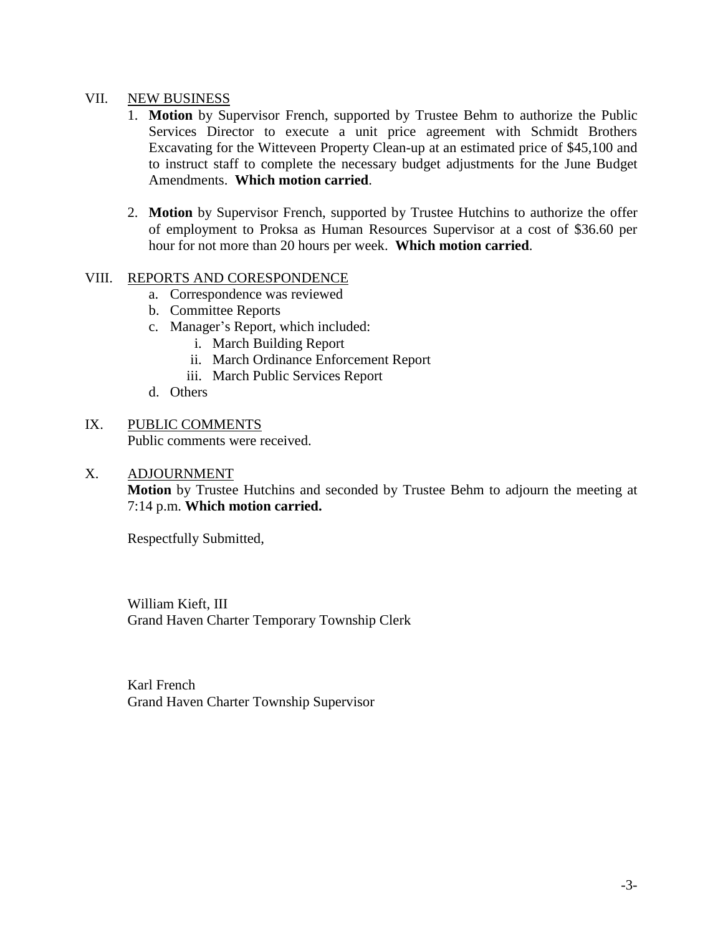#### VII. NEW BUSINESS

- 1. **Motion** by Supervisor French, supported by Trustee Behm to authorize the Public Services Director to execute a unit price agreement with Schmidt Brothers Excavating for the Witteveen Property Clean-up at an estimated price of \$45,100 and to instruct staff to complete the necessary budget adjustments for the June Budget Amendments. **Which motion carried**.
- 2. **Motion** by Supervisor French, supported by Trustee Hutchins to authorize the offer of employment to Proksa as Human Resources Supervisor at a cost of \$36.60 per hour for not more than 20 hours per week. **Which motion carried**.

#### VIII. REPORTS AND CORESPONDENCE

- a. Correspondence was reviewed
- b. Committee Reports
- c. Manager's Report, which included:
	- i. March Building Report
	- ii. March Ordinance Enforcement Report
	- iii. March Public Services Report
- d. Others
- IX. PUBLIC COMMENTS Public comments were received.

#### X. ADJOURNMENT

**Motion** by Trustee Hutchins and seconded by Trustee Behm to adjourn the meeting at 7:14 p.m. **Which motion carried.**

Respectfully Submitted,

William Kieft, III Grand Haven Charter Temporary Township Clerk

Karl French Grand Haven Charter Township Supervisor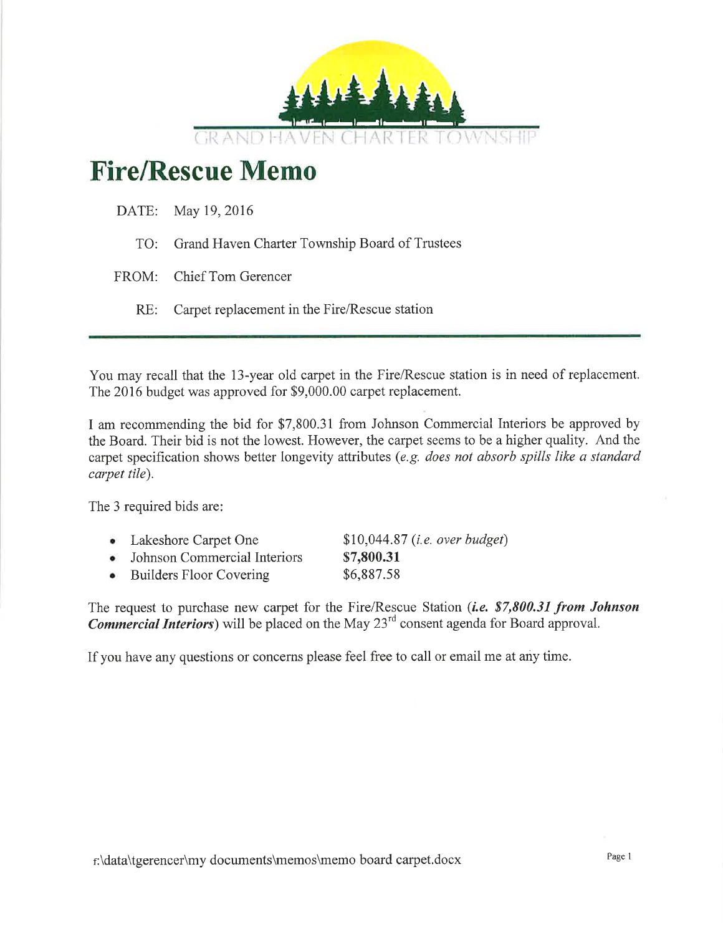

# **Fire/Rescue Memo**

| DATE: May 19, 2016                                 |
|----------------------------------------------------|
| TO: Grand Haven Charter Township Board of Trustees |
| FROM: Chief Tom Gerencer                           |
| RE: Carpet replacement in the Fire/Rescue station  |

You may recall that the 13-year old carpet in the Fire/Rescue station is in need of replacement. The 2016 budget was approved for \$9,000.00 carpet replacement.

I am recommending the bid for \$7,800.31 from Johnson Commercial Interiors be approved by the Board. Their bid is not the lowest. However, the carpet seems to be a higher quality. And the carpet specification shows better longevity attributes (e.g. does not absorb spills like a standard carpet tile).

The 3 required bids are:

- Lakeshore Carpet One \$10,044.87 (*i.e.* over budget)
- Johnson Commercial Interiors
- Builders Floor Covering \$6,887.58

The request to purchase new carpet for the Fire/Rescue Station (i.e. \$7,800.31 from Johnson **Commercial Interiors**) will be placed on the May  $23^{rd}$  consent agenda for Board approval.

\$7,800.31

If you have any questions or concerns please feel free to call or email me at any time.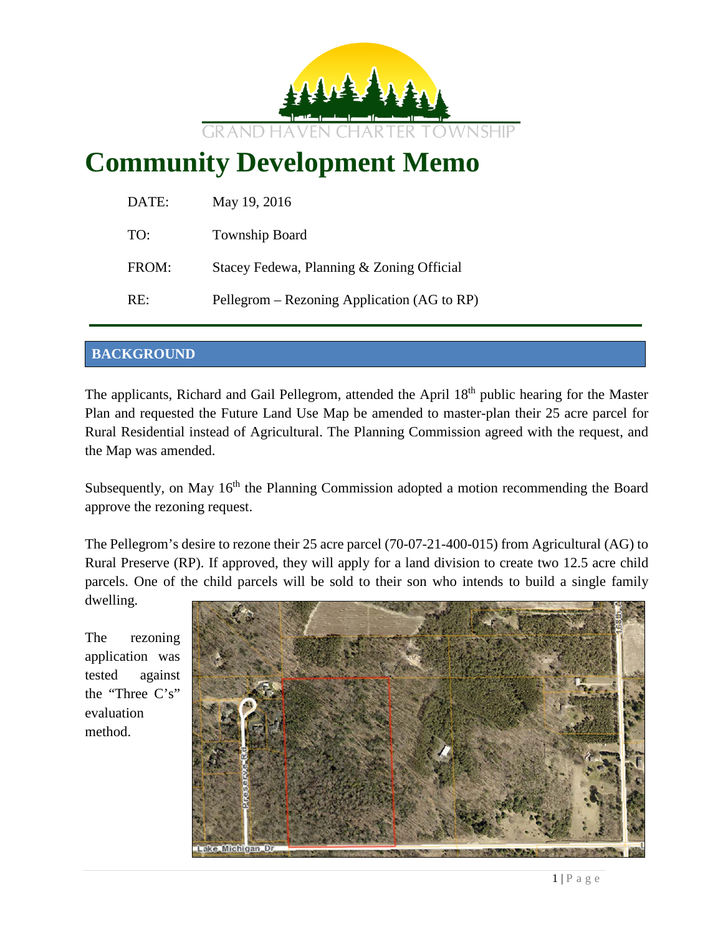

# **Community Development Memo**

| DATE: | May 19, 2016                                |
|-------|---------------------------------------------|
| TO:   | Township Board                              |
| FROM: | Stacey Fedewa, Planning & Zoning Official   |
| RE:   | Pellegrom – Rezoning Application (AG to RP) |

### **BACKGROUND**

The applicants, Richard and Gail Pellegrom, attended the April 18<sup>th</sup> public hearing for the Master Plan and requested the Future Land Use Map be amended to master-plan their 25 acre parcel for Rural Residential instead of Agricultural. The Planning Commission agreed with the request, and the Map was amended.

Subsequently, on May  $16<sup>th</sup>$  the Planning Commission adopted a motion recommending the Board approve the rezoning request.

The Pellegrom's desire to rezone their 25 acre parcel (70-07-21-400-015) from Agricultural (AG) to Rural Preserve (RP). If approved, they will apply for a land division to create two 12.5 acre child parcels. One of the child parcels will be sold to their son who intends to build a single family

dwelling.

The rezoning application was tested against the "Three C's" evaluation method.

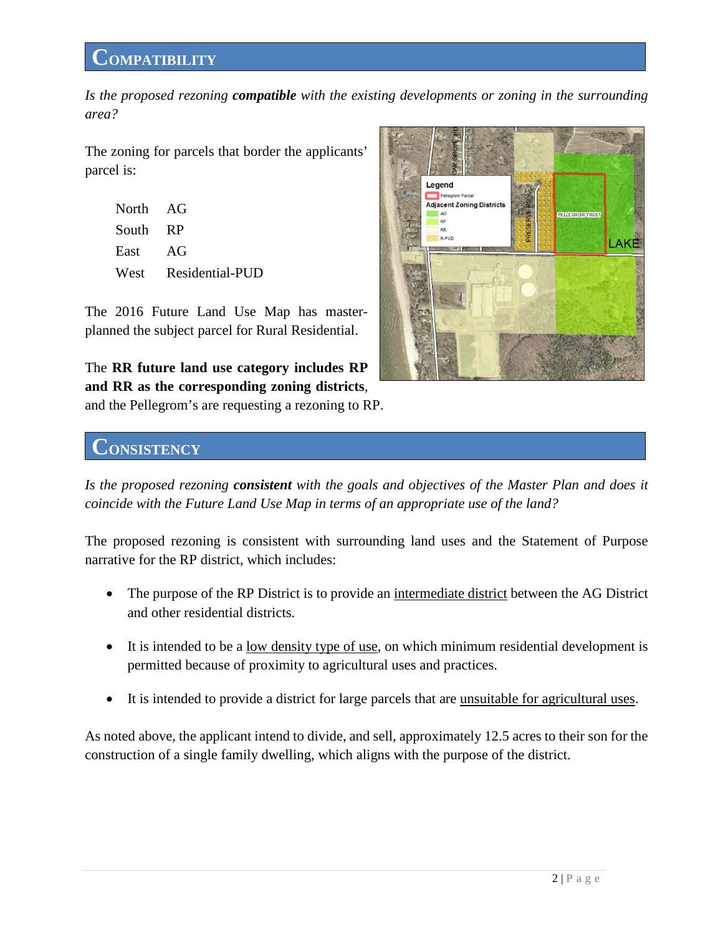# **COMPATIBILITY**

*Is the proposed rezoning compatible with the existing developments or zoning in the surrounding area?*

The zoning for parcels that border the applicants' parcel is:

| North AG |                      |
|----------|----------------------|
| South RP |                      |
| East AG  |                      |
|          | West Residential-PUD |

The 2016 Future Land Use Map has masterplanned the subject parcel for Rural Residential.

The **RR future land use category includes RP and RR as the corresponding zoning districts**, and the Pellegrom's are requesting a rezoning to RP.



# **CONSISTENCY**

*Is the proposed rezoning consistent with the goals and objectives of the Master Plan and does it coincide with the Future Land Use Map in terms of an appropriate use of the land?*

The proposed rezoning is consistent with surrounding land uses and the Statement of Purpose narrative for the RP district, which includes:

- The purpose of the RP District is to provide an intermediate district between the AG District and other residential districts.
- It is intended to be a low density type of use, on which minimum residential development is permitted because of proximity to agricultural uses and practices.
- It is intended to provide a district for large parcels that are unsuitable for agricultural uses.

As noted above, the applicant intend to divide, and sell, approximately 12.5 acres to their son for the construction of a single family dwelling, which aligns with the purpose of the district.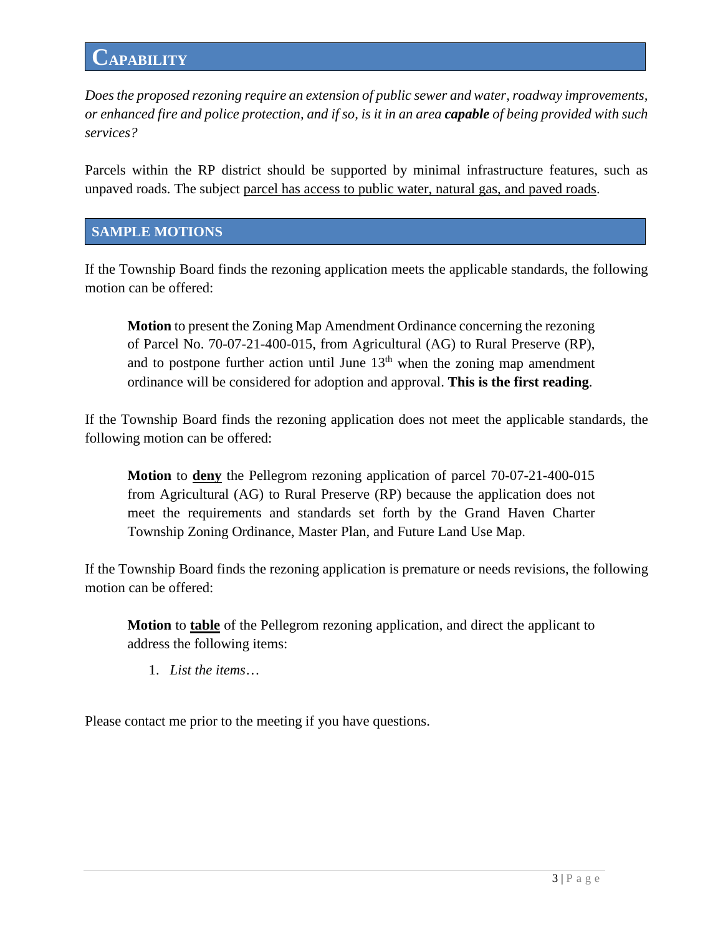*Does the proposed rezoning require an extension of public sewer and water, roadway improvements, or enhanced fire and police protection, and if so, is it in an area capable of being provided with such services?*

Parcels within the RP district should be supported by minimal infrastructure features, such as unpaved roads. The subject parcel has access to public water, natural gas, and paved roads.

#### **SAMPLE MOTIONS**

If the Township Board finds the rezoning application meets the applicable standards, the following motion can be offered:

**Motion** to present the Zoning Map Amendment Ordinance concerning the rezoning of Parcel No. 70-07-21-400-015, from Agricultural (AG) to Rural Preserve (RP), and to postpone further action until June  $13<sup>th</sup>$  when the zoning map amendment ordinance will be considered for adoption and approval. **This is the first reading**.

If the Township Board finds the rezoning application does not meet the applicable standards, the following motion can be offered:

**Motion** to **deny** the Pellegrom rezoning application of parcel 70-07-21-400-015 from Agricultural (AG) to Rural Preserve (RP) because the application does not meet the requirements and standards set forth by the Grand Haven Charter Township Zoning Ordinance, Master Plan, and Future Land Use Map.

If the Township Board finds the rezoning application is premature or needs revisions, the following motion can be offered:

**Motion** to **table** of the Pellegrom rezoning application, and direct the applicant to address the following items:

1. *List the items*…

Please contact me prior to the meeting if you have questions.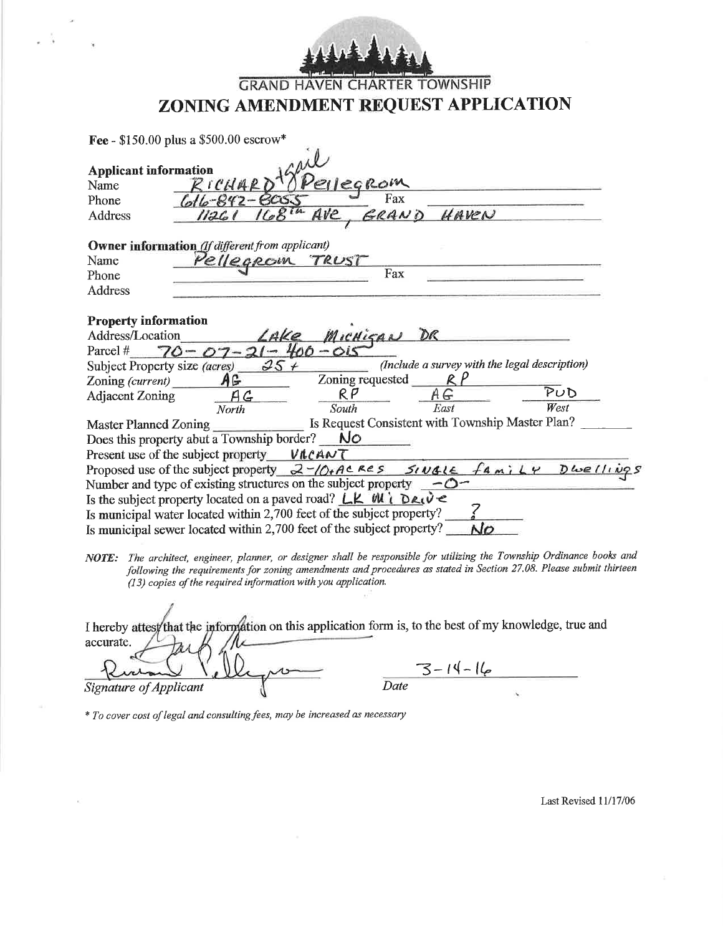#### **TOWNSHIP GRAND HAVEN CHARTER** ZONING AMENDMENT REQUEST APPLICATION

|                               | <b>Fee</b> - \$150.00 plus a \$500.00 escrow*                                                       |  |
|-------------------------------|-----------------------------------------------------------------------------------------------------|--|
|                               |                                                                                                     |  |
| <b>Applicant information</b>  |                                                                                                     |  |
| Name                          | egrom<br>RICHAR                                                                                     |  |
| Phone                         | Fax<br>$ot6 - 842 - 6053$                                                                           |  |
| Address                       | HAVEN<br>RAND<br>1126                                                                               |  |
|                               |                                                                                                     |  |
|                               | <b>Owner information</b> (If different from applicant)                                              |  |
| Name                          | ellegrom TRUST                                                                                      |  |
| Phone                         | Fax                                                                                                 |  |
| <b>Address</b>                |                                                                                                     |  |
|                               |                                                                                                     |  |
| <b>Property information</b>   |                                                                                                     |  |
| Address/Location              | MICHIGAN<br>DR<br>AKe                                                                               |  |
| Parcel #<br>$70 - 07$         | $21 - 400 - 015$                                                                                    |  |
| Subject Property size (acres) | (Include a survey with the legal description)<br>$25 +$                                             |  |
| Zoning (current)              | Zoning requested<br>AG                                                                              |  |
| <b>Adjacent Zoning</b>        | $\overline{P}UD$<br>R P<br>ΑG<br>G                                                                  |  |
|                               | West<br>South<br>East<br>North                                                                      |  |
| Master Planned Zoning         | Is Request Consistent with Township Master Plan?                                                    |  |
|                               | No<br>Does this property abut a Township border?                                                    |  |
|                               | Present use of the subject property $VACANT$                                                        |  |
|                               | Proposed use of the subject property $2-\sqrt{0}$ +ACRES SIUGLE family<br>$D\omega e$ <i>llings</i> |  |
|                               | Number and type of existing structures on the subject property<br>$-0-$                             |  |
|                               | Is the subject property located on a paved road? $LK W \cap R_V \subset$                            |  |
|                               | Is municipal water located within 2,700 feet of the subject property?                               |  |
|                               | Is municipal sewer located within 2,700 feet of the subject property?                               |  |
|                               |                                                                                                     |  |

NOTE: The architect, engineer, planner, or designer shall be responsible for utilizing the Township Ordinance books and following the requirements for zoning amendments and procedures as stated in Section 27.08. Please submit thirteen (13) copies of the required information with you application.

| I hereby attest that the information on this application form is, to the best of my knowledge, true and |               |  |
|---------------------------------------------------------------------------------------------------------|---------------|--|
| accurate.                                                                                               |               |  |
|                                                                                                         | $7 - 14 - 16$ |  |
| <b>Signature of Applicant</b>                                                                           | Date          |  |

\* To cover cost of legal and consulting fees, may be increased as necessary

Last Revised 11/17/06